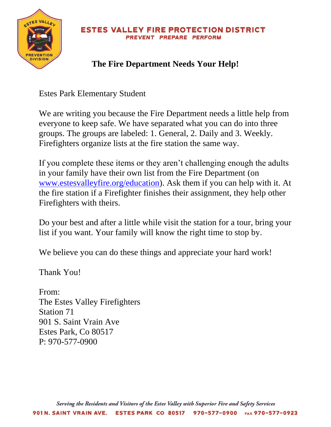

#### **ESTES VALLEY FIRE PROTECTION DISTRICT** PREVENT PREPARE PERFORM

# **The Fire Department Needs Your Help!**

Estes Park Elementary Student

We are writing you because the Fire Department needs a little help from everyone to keep safe. We have separated what you can do into three groups. The groups are labeled: 1. General, 2. Daily and 3. Weekly. Firefighters organize lists at the fire station the same way.

If you complete these items or they aren't challenging enough the adults in your family have their own list from the Fire Department (on [www.estesvalleyfire.org/education\)](http://www.estesvalleyfire.org/education). Ask them if you can help with it. At the fire station if a Firefighter finishes their assignment, they help other Firefighters with theirs.

Do your best and after a little while visit the station for a tour, bring your list if you want. Your family will know the right time to stop by.

We believe you can do these things and appreciate your hard work!

Thank You!

From: The Estes Valley Firefighters Station 71 901 S. Saint Vrain Ave Estes Park, Co 80517 P: 970-577-0900